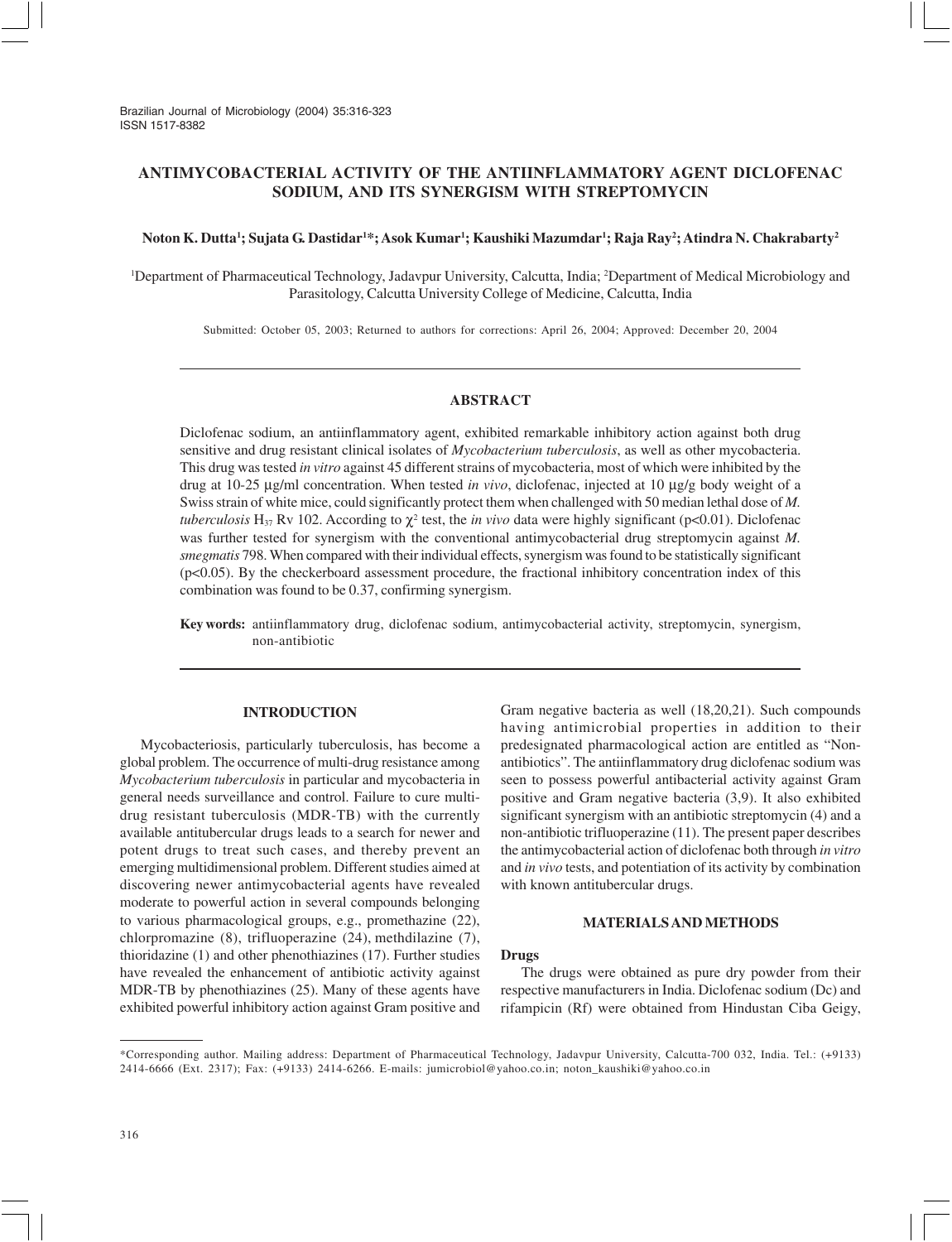# **ANTIMYCOBACTERIAL ACTIVITY OF THE ANTIINFLAMMATORY AGENT DICLOFENAC SODIUM, AND ITS SYNERGISM WITH STREPTOMYCIN**

### **Noton K. Dutta1 ; Sujata G. Dastidar1 \*; Asok Kumar1 ; Kaushiki Mazumdar1 ; Raja Ray2 ; Atindra N. Chakrabarty2**

1 Department of Pharmaceutical Technology, Jadavpur University, Calcutta, India; 2 Department of Medical Microbiology and Parasitology, Calcutta University College of Medicine, Calcutta, India

Submitted: October 05, 2003; Returned to authors for corrections: April 26, 2004; Approved: December 20, 2004

## **ABSTRACT**

Diclofenac sodium, an antiinflammatory agent, exhibited remarkable inhibitory action against both drug sensitive and drug resistant clinical isolates of *Mycobacterium tuberculosis*, as well as other mycobacteria. This drug was tested *in vitro* against 45 different strains of mycobacteria, most of which were inhibited by the drug at 10-25 µg/ml concentration. When tested *in vivo*, diclofenac, injected at 10 µg/g body weight of a Swiss strain of white mice, could significantly protect them when challenged with 50 median lethal dose of *M. tuberculosis* H<sub>37</sub> Rv 102. According to  $\chi^2$  test, the *in vivo* data were highly significant (p<0.01). Diclofenac was further tested for synergism with the conventional antimycobacterial drug streptomycin against *M. smegmatis* 798. When compared with their individual effects, synergism was found to be statistically significant  $(p<0.05)$ . By the checkerboard assessment procedure, the fractional inhibitory concentration index of this combination was found to be 0.37, confirming synergism.

**Key words:** antiinflammatory drug, diclofenac sodium, antimycobacterial activity, streptomycin, synergism, non-antibiotic

# **INTRODUCTION**

Mycobacteriosis, particularly tuberculosis, has become a global problem. The occurrence of multi-drug resistance among *Mycobacterium tuberculosis* in particular and mycobacteria in general needs surveillance and control. Failure to cure multidrug resistant tuberculosis (MDR-TB) with the currently available antitubercular drugs leads to a search for newer and potent drugs to treat such cases, and thereby prevent an emerging multidimensional problem. Different studies aimed at discovering newer antimycobacterial agents have revealed moderate to powerful action in several compounds belonging to various pharmacological groups, e.g., promethazine (22), chlorpromazine (8), trifluoperazine (24), methdilazine (7), thioridazine (1) and other phenothiazines (17). Further studies have revealed the enhancement of antibiotic activity against MDR-TB by phenothiazines (25). Many of these agents have exhibited powerful inhibitory action against Gram positive and

Gram negative bacteria as well (18,20,21). Such compounds having antimicrobial properties in addition to their predesignated pharmacological action are entitled as "Nonantibiotics". The antiinflammatory drug diclofenac sodium was seen to possess powerful antibacterial activity against Gram positive and Gram negative bacteria (3,9). It also exhibited significant synergism with an antibiotic streptomycin (4) and a non-antibiotic trifluoperazine (11). The present paper describes the antimycobacterial action of diclofenac both through *in vitro* and *in vivo* tests, and potentiation of its activity by combination with known antitubercular drugs.

#### **MATERIALS AND METHODS**

#### **Drugs**

The drugs were obtained as pure dry powder from their respective manufacturers in India. Diclofenac sodium (Dc) and rifampicin (Rf) were obtained from Hindustan Ciba Geigy,

<sup>\*</sup>Corresponding author. Mailing address: Department of Pharmaceutical Technology, Jadavpur University, Calcutta-700 032, India. Tel.: (+9133) 2414-6666 (Ext. 2317); Fax: (+9133) 2414-6266. E-mails: jumicrobiol@yahoo.co.in; noton\_kaushiki@yahoo.co.in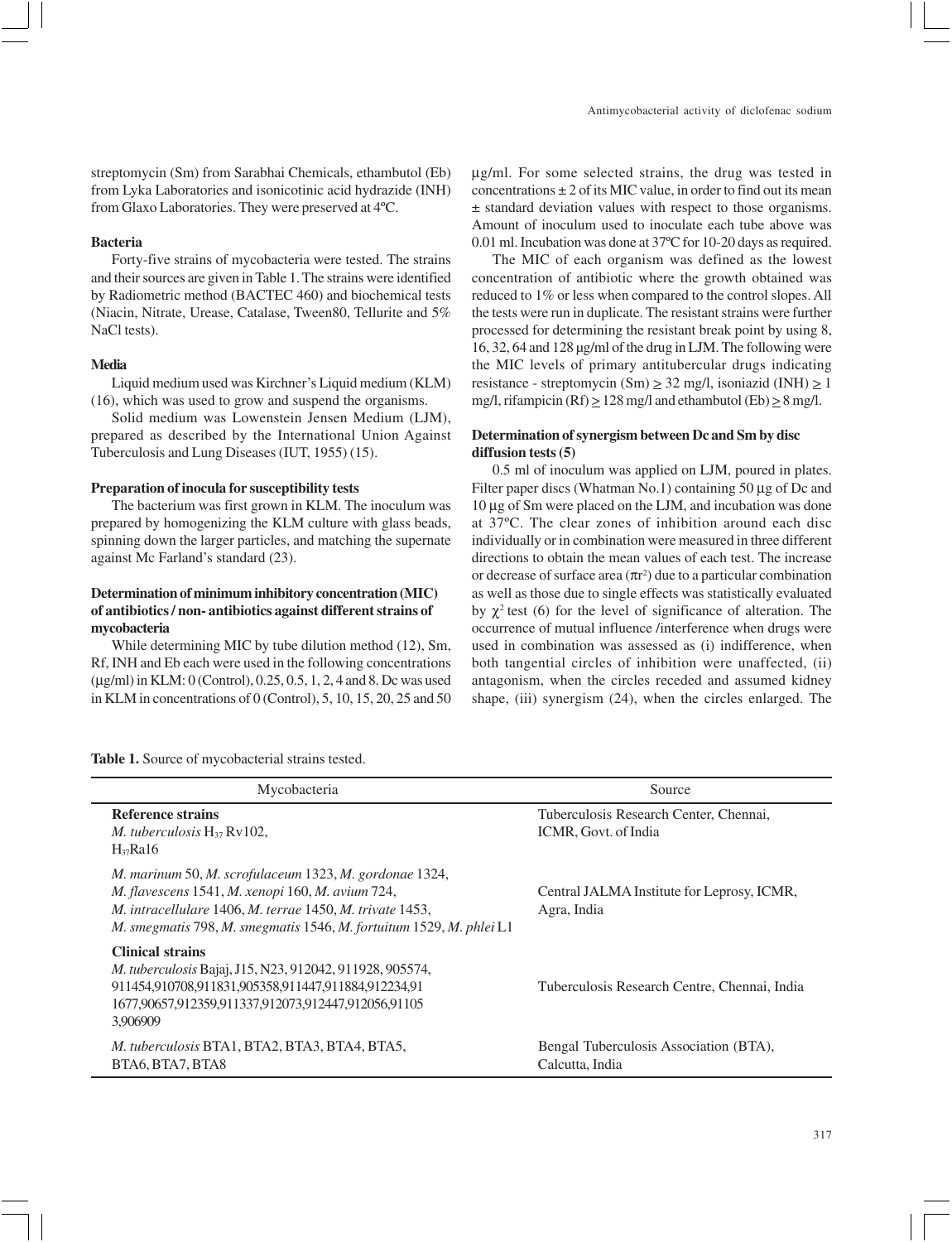#### **Bacteria**

Forty-five strains of mycobacteria were tested. The strains and their sources are given in Table 1. The strains were identified by Radiometric method (BACTEC 460) and biochemical tests (Niacin, Nitrate, Urease, Catalase, Tween80, Tellurite and 5% NaCl tests).

### **Media**

Liquid medium used was Kirchner's Liquid medium (KLM) (16), which was used to grow and suspend the organisms.

Solid medium was Lowenstein Jensen Medium (LJM), prepared as described by the International Union Against Tuberculosis and Lung Diseases (IUT, 1955) (15).

## **Preparation of inocula for susceptibility tests**

The bacterium was first grown in KLM. The inoculum was prepared by homogenizing the KLM culture with glass beads, spinning down the larger particles, and matching the supernate against Mc Farland's standard (23).

# **Determination of minimum inhibitory concentration (MIC) of antibiotics / non- antibiotics against different strains of mycobacteria**

While determining MIC by tube dilution method (12), Sm, Rf, INH and Eb each were used in the following concentrations (µg/ml) in KLM: 0 (Control), 0.25, 0.5, 1, 2, 4 and 8. Dc was used in KLM in concentrations of 0 (Control), 5, 10, 15, 20, 25 and 50

µg/ml. For some selected strains, the drug was tested in concentrations  $\pm 2$  of its MIC value, in order to find out its mean ± standard deviation values with respect to those organisms. Amount of inoculum used to inoculate each tube above was 0.01 ml. Incubation was done at 37ºC for 10-20 days as required.

The MIC of each organism was defined as the lowest concentration of antibiotic where the growth obtained was reduced to 1% or less when compared to the control slopes. All the tests were run in duplicate. The resistant strains were further processed for determining the resistant break point by using 8, 16, 32, 64 and 128 µg/ml of the drug in LJM. The following were the MIC levels of primary antitubercular drugs indicating resistance - streptomycin (Sm)  $\geq$  32 mg/l, isoniazid (INH)  $\geq$  1 mg/l, rifampicin (Rf)  $\geq$  128 mg/l and ethambutol (Eb)  $\geq$  8 mg/l.

# **Determination of synergism between Dc and Sm by disc diffusion tests (5)**

0.5 ml of inoculum was applied on LJM, poured in plates. Filter paper discs (Whatman No.1) containing 50 µg of Dc and 10 µg of Sm were placed on the LJM, and incubation was done at 37ºC. The clear zones of inhibition around each disc individually or in combination were measured in three different directions to obtain the mean values of each test. The increase or decrease of surface area  $(\pi r^2)$  due to a particular combination as well as those due to single effects was statistically evaluated by  $\chi^2$  test (6) for the level of significance of alteration. The occurrence of mutual influence /interference when drugs were used in combination was assessed as (i) indifference, when both tangential circles of inhibition were unaffected, (ii) antagonism, when the circles receded and assumed kidney shape, (iii) synergism (24), when the circles enlarged. The

| <b>Table 1.</b> Source of mycobacterial strains tested. |  |
|---------------------------------------------------------|--|
|---------------------------------------------------------|--|

| Mycobacteria                                                                                                                                                                                                                                  | Source                                                         |  |  |  |
|-----------------------------------------------------------------------------------------------------------------------------------------------------------------------------------------------------------------------------------------------|----------------------------------------------------------------|--|--|--|
| <b>Reference strains</b><br><i>M.</i> tuberculosis $H_{37}$ Ry102,<br>$H_{37}$ Ra16                                                                                                                                                           | Tuberculosis Research Center, Chennai,<br>ICMR, Govt. of India |  |  |  |
| M. marinum 50, M. scrofulaceum 1323, M. gordonae 1324,<br>M. flavescens 1541, M. xenopi 160, M. avium 724,<br>M. intracellulare 1406, M. terrae 1450, M. trivate 1453,<br>M. smegmatis 798, M. smegmatis 1546, M. fortuitum 1529, M. phlei L1 | Central JALMA Institute for Leprosy, ICMR,<br>Agra, India      |  |  |  |
| <b>Clinical strains</b><br><i>M. tuberculosis</i> Bajaj, J15, N23, 912042, 911928, 905574,<br>911454,910708,911831,905358,911447,911884,912234,91<br>1677,90657,912359,911337,912073,912447,912056,91105<br>3.906909                          | Tuberculosis Research Centre, Chennai, India                   |  |  |  |
| M. tuberculosis BTA1, BTA2, BTA3, BTA4, BTA5,<br>BTA6, BTA7, BTA8                                                                                                                                                                             | Bengal Tuberculosis Association (BTA),<br>Calcutta, India      |  |  |  |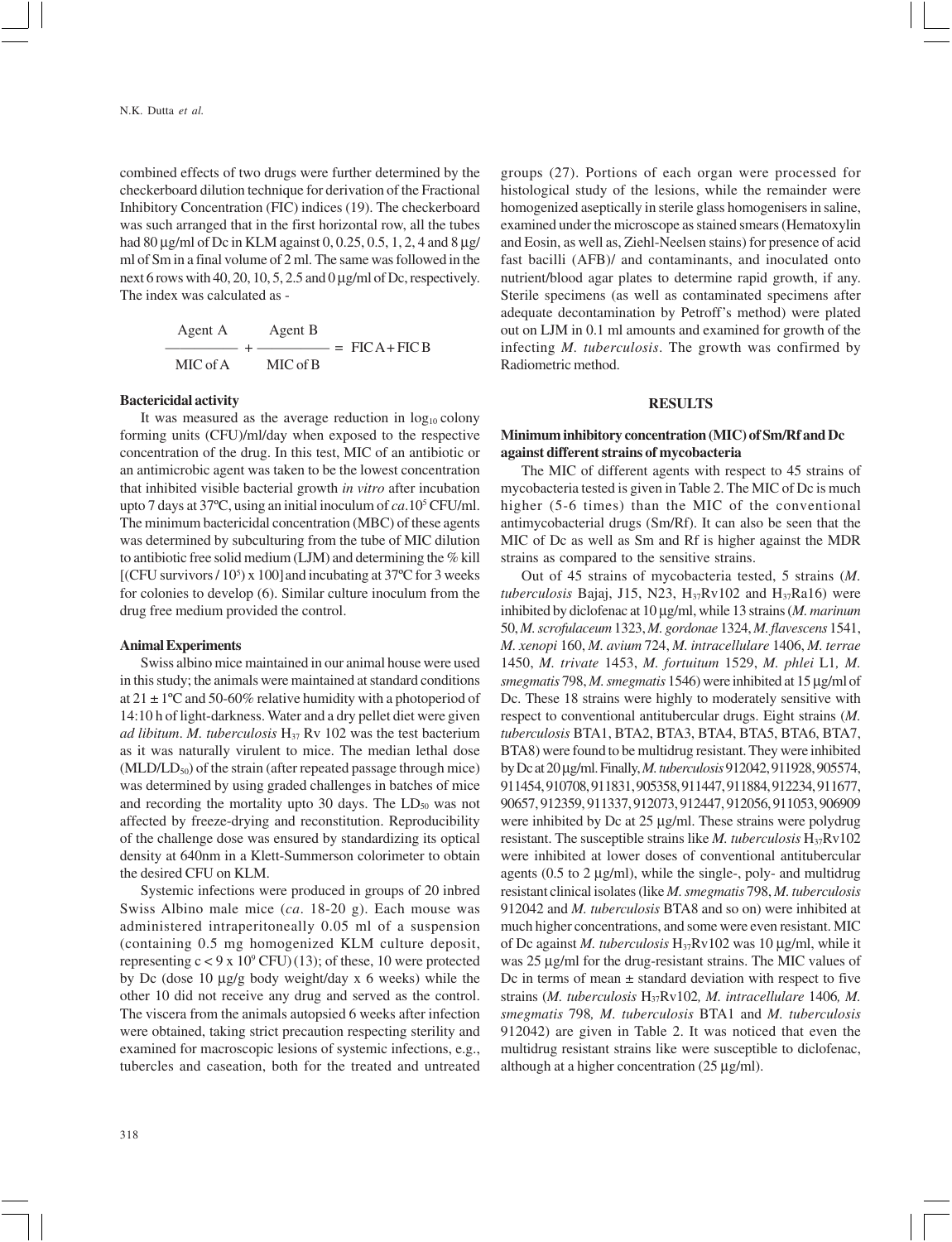combined effects of two drugs were further determined by the checkerboard dilution technique for derivation of the Fractional Inhibitory Concentration (FIC) indices (19). The checkerboard was such arranged that in the first horizontal row, all the tubes had 80 µg/ml of Dc in KLM against 0, 0.25, 0.5, 1, 2, 4 and 8 µg/ ml of Sm in a final volume of 2 ml. The same was followed in the next 6 rows with 40, 20, 10, 5, 2.5 and 0 µg/ml of Dc, respectively. The index was calculated as -

| Agent A  | Agent B  |                       |
|----------|----------|-----------------------|
|          |          | $\equiv$ FICA + FIC B |
| MIC of A | MIC of B |                       |

## **Bactericidal activity**

It was measured as the average reduction in  $log_{10}$  colony forming units (CFU)/ml/day when exposed to the respective concentration of the drug. In this test, MIC of an antibiotic or an antimicrobic agent was taken to be the lowest concentration that inhibited visible bacterial growth *in vitro* after incubation upto 7 days at 37ºC, using an initial inoculum of *ca*.105 CFU/ml. The minimum bactericidal concentration (MBC) of these agents was determined by subculturing from the tube of MIC dilution to antibiotic free solid medium (LJM) and determining the % kill [(CFU survivors  $/ 10^5$ ) x 100] and incubating at 37°C for 3 weeks for colonies to develop (6). Similar culture inoculum from the drug free medium provided the control.

### **Animal Experiments**

Swiss albino mice maintained in our animal house were used in this study; the animals were maintained at standard conditions at  $21 \pm 1$ °C and 50-60% relative humidity with a photoperiod of 14:10 h of light-darkness. Water and a dry pellet diet were given *ad libitum. M. tuberculosis* H<sub>37</sub> Rv 102 was the test bacterium as it was naturally virulent to mice. The median lethal dose  $(MLD/LD<sub>50</sub>)$  of the strain (after repeated passage through mice) was determined by using graded challenges in batches of mice and recording the mortality upto 30 days. The  $LD_{50}$  was not affected by freeze-drying and reconstitution. Reproducibility of the challenge dose was ensured by standardizing its optical density at 640nm in a Klett-Summerson colorimeter to obtain the desired CFU on KLM.

Systemic infections were produced in groups of 20 inbred Swiss Albino male mice (*ca*. 18-20 g). Each mouse was administered intraperitoneally 0.05 ml of a suspension (containing 0.5 mg homogenized KLM culture deposit, representing  $c < 9 \times 10^9$  CFU) (13); of these, 10 were protected by Dc (dose 10 µg/g body weight/day x 6 weeks) while the other 10 did not receive any drug and served as the control. The viscera from the animals autopsied 6 weeks after infection were obtained, taking strict precaution respecting sterility and examined for macroscopic lesions of systemic infections, e.g., tubercles and caseation, both for the treated and untreated

groups (27). Portions of each organ were processed for histological study of the lesions, while the remainder were homogenized aseptically in sterile glass homogenisers in saline, examined under the microscope as stained smears (Hematoxylin and Eosin, as well as, Ziehl-Neelsen stains) for presence of acid fast bacilli (AFB)/ and contaminants, and inoculated onto nutrient/blood agar plates to determine rapid growth, if any. Sterile specimens (as well as contaminated specimens after adequate decontamination by Petroff's method) were plated out on LJM in 0.1 ml amounts and examined for growth of the infecting *M. tuberculosis*. The growth was confirmed by Radiometric method.

### **RESULTS**

## **Minimum inhibitory concentration (MIC) of Sm/Rf and Dc against different strains of mycobacteria**

The MIC of different agents with respect to 45 strains of mycobacteria tested is given in Table 2. The MIC of Dc is much higher (5-6 times) than the MIC of the conventional antimycobacterial drugs (Sm/Rf). It can also be seen that the MIC of Dc as well as Sm and Rf is higher against the MDR strains as compared to the sensitive strains.

Out of 45 strains of mycobacteria tested, 5 strains (*M. tuberculosis* Bajaj, J15, N23, H37Rv102 and H37Ra16) were inhibited by diclofenac at 10 µg/ml, while 13 strains (*M. marinum* 50, *M. scrofulaceum* 1323, *M. gordonae* 1324, *M. flavescens* 1541, *M. xenopi* 160, *M. avium* 724, *M. intracellulare* 1406, *M. terrae* 1450, *M. trivate* 1453, *M. fortuitum* 1529, *M. phlei* L1*, M. smegmatis* 798, *M. smegmatis* 1546) were inhibited at 15 µg/ml of Dc. These 18 strains were highly to moderately sensitive with respect to conventional antitubercular drugs. Eight strains (*M. tuberculosis* BTA1, BTA2, BTA3, BTA4, BTA5, BTA6, BTA7, BTA8) were found to be multidrug resistant. They were inhibited by Dc at 20 µg/ml. Finally, *M. tuberculosis* 912042, 911928, 905574, 911454, 910708, 911831, 905358, 911447, 911884, 912234, 911677, 90657, 912359, 911337, 912073, 912447, 912056, 911053, 906909 were inhibited by Dc at 25 µg/ml. These strains were polydrug resistant. The susceptible strains like  $M$ . tuberculosis  $H_{37}Rv102$ were inhibited at lower doses of conventional antitubercular agents (0.5 to 2 µg/ml), while the single-, poly- and multidrug resistant clinical isolates (like *M. smegmatis* 798, *M. tuberculosis* 912042 and *M. tuberculosis* BTA8 and so on) were inhibited at much higher concentrations, and some were even resistant. MIC of Dc against *M. tuberculosis* H37Rv102 was 10 µg/ml, while it was 25 µg/ml for the drug-resistant strains. The MIC values of Dc in terms of mean  $\pm$  standard deviation with respect to five strains (*M. tuberculosis* H37Rv102*, M. intracellulare* 1406*, M. smegmatis* 798*, M. tuberculosis* BTA1 and *M. tuberculosis* 912042) are given in Table 2. It was noticed that even the multidrug resistant strains like were susceptible to diclofenac, although at a higher concentration (25 µg/ml).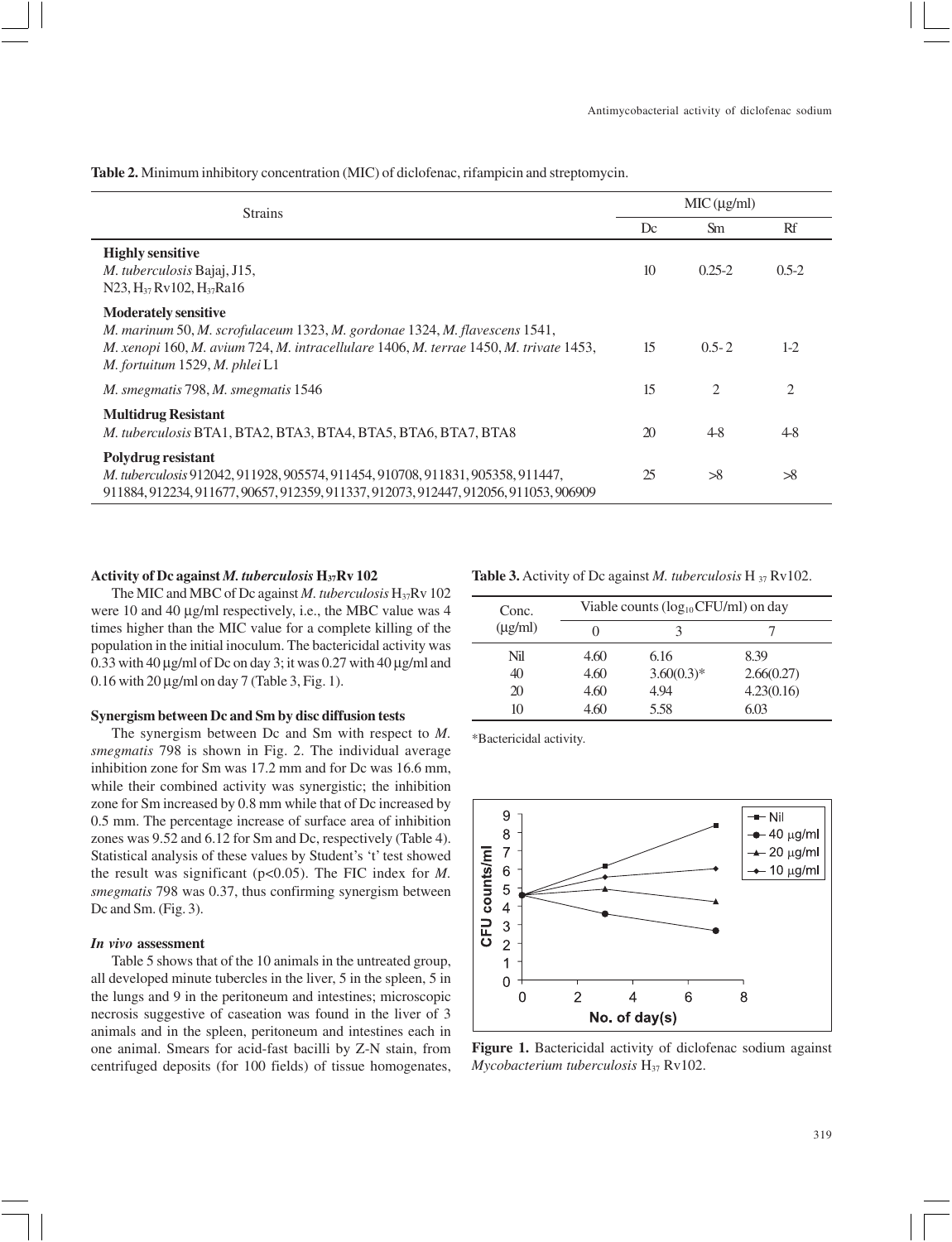**Table 2.** Minimum inhibitory concentration (MIC) of diclofenac, rifampicin and streptomycin.

| <b>Strains</b>                                                                                                                                                                                                                       |    | MIC(µg/ml) |         |  |  |
|--------------------------------------------------------------------------------------------------------------------------------------------------------------------------------------------------------------------------------------|----|------------|---------|--|--|
|                                                                                                                                                                                                                                      | Dc | <b>Sm</b>  | Rf      |  |  |
| <b>Highly sensitive</b><br>M. tuberculosis Bajaj, J15,<br>N23, $H_{37}$ Rv102, $H_{37}$ Ra16                                                                                                                                         | 10 | $0.25 - 2$ | $0.5-2$ |  |  |
| <b>Moderately sensitive</b><br>M. marinum 50, M. scrofulaceum 1323, M. gordonae 1324, M. flavescens 1541,<br>M. xenopi 160, M. avium 724, M. intracellulare 1406, M. terrae 1450, M. trivate 1453,<br>M. fortuitum 1529, M. phlei L1 | 15 | $0.5 - 2$  | $1-2$   |  |  |
| M. smegmatis 798, M. smegmatis 1546                                                                                                                                                                                                  | 15 | 2          | 2       |  |  |
| <b>Multidrug Resistant</b><br>M. tuberculosis BTA1, BTA2, BTA3, BTA4, BTA5, BTA6, BTA7, BTA8                                                                                                                                         | 20 | $4-8$      | $4-8$   |  |  |
| Polydrug resistant<br>M. tuberculosis 912042, 911928, 905574, 911454, 910708, 911831, 905358, 911447,<br>911884, 912234, 911677, 90657, 912359, 911337, 912073, 912447, 912056, 911053, 906909                                       | 25 | >8         | >8      |  |  |

## **Activity of Dc against** *M. tuberculosis* **H37Rv 102**

The MIC and MBC of Dc against *M. tuberculosis* H<sub>37</sub>Rv 102 were 10 and 40  $\mu$ g/ml respectively, i.e., the MBC value was 4 times higher than the MIC value for a complete killing of the population in the initial inoculum. The bactericidal activity was 0.33 with 40 µg/ml of Dc on day 3; it was 0.27 with 40 µg/ml and  $0.16$  with  $20 \mu g/ml$  on day 7 (Table 3, Fig. 1).

### **Synergism between Dc and Sm by disc diffusion tests**

The synergism between Dc and Sm with respect to *M. smegmatis* 798 is shown in Fig. 2. The individual average inhibition zone for Sm was 17.2 mm and for Dc was 16.6 mm, while their combined activity was synergistic; the inhibition zone for Sm increased by 0.8 mm while that of Dc increased by 0.5 mm. The percentage increase of surface area of inhibition zones was 9.52 and 6.12 for Sm and Dc, respectively (Table 4). Statistical analysis of these values by Student's 't' test showed the result was significant (p<0.05). The FIC index for *M. smegmatis* 798 was 0.37, thus confirming synergism between Dc and Sm. (Fig. 3).

## *In vivo* **assessment**

Table 5 shows that of the 10 animals in the untreated group, all developed minute tubercles in the liver, 5 in the spleen, 5 in the lungs and 9 in the peritoneum and intestines; microscopic necrosis suggestive of caseation was found in the liver of 3 animals and in the spleen, peritoneum and intestines each in one animal. Smears for acid-fast bacilli by Z-N stain, from centrifuged deposits (for 100 fields) of tissue homogenates,

**Table 3.** Activity of Dc against *M. tuberculosis* H 37 Rv102.

| Conc.        | Viable counts $(log_{10} CFU/ml)$ on day |              |            |  |  |  |
|--------------|------------------------------------------|--------------|------------|--|--|--|
| $(\mu g/ml)$ |                                          |              |            |  |  |  |
| Nil          | 4.60                                     | 6.16         | 8.39       |  |  |  |
| 40           | 4.60                                     | $3.60(0.3)*$ | 2.66(0.27) |  |  |  |
| 20           | 4.60                                     | 4.94         | 4.23(0.16) |  |  |  |
| 10           | 4.60                                     | 5.58         | 6.03       |  |  |  |

\*Bactericidal activity.



**Figure 1.** Bactericidal activity of diclofenac sodium against *Mycobacterium tuberculosis* H<sub>37</sub> Rv102.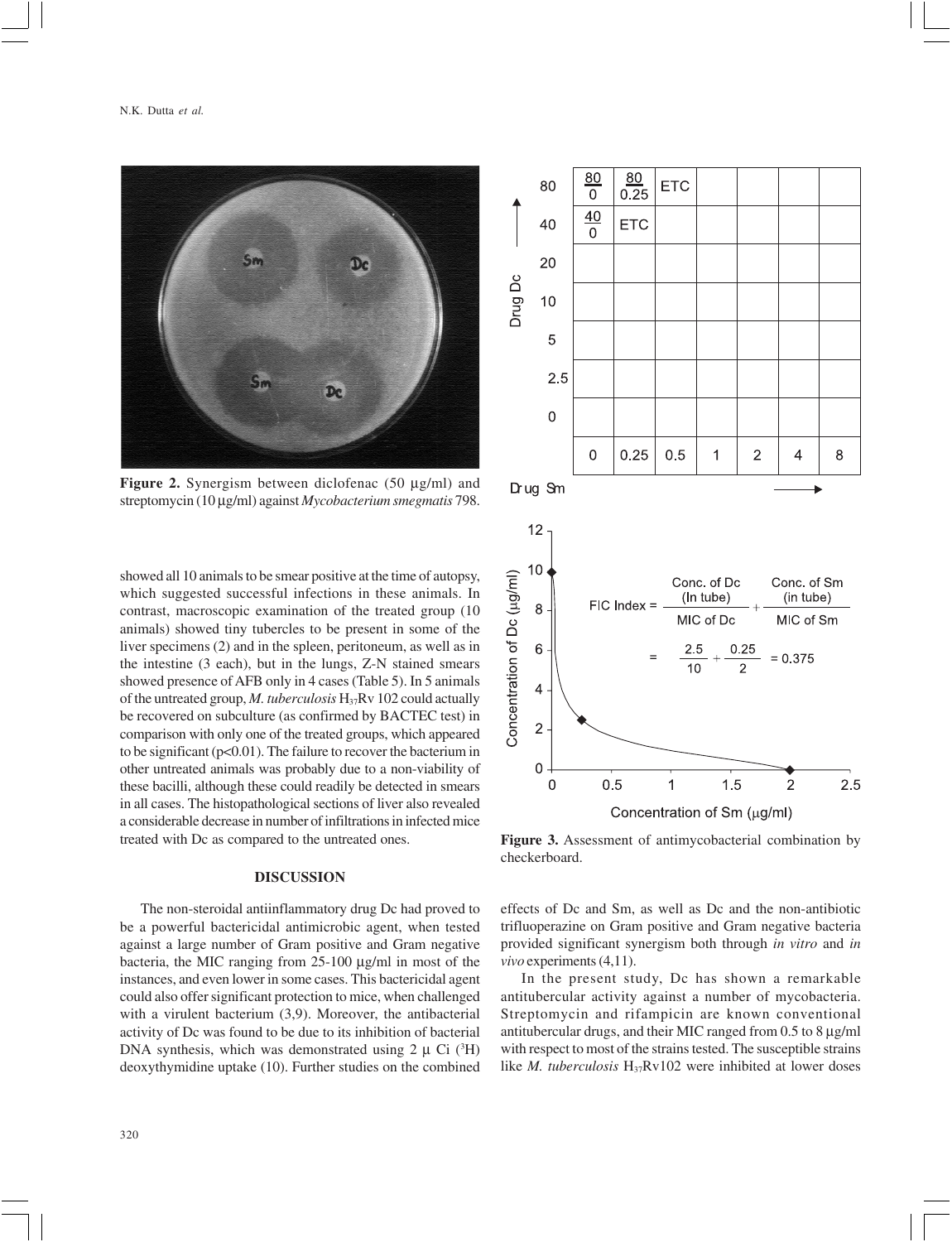

**Figure 2.** Synergism between diclofenac (50 µg/ml) and streptomycin (10 µg/ml) against *Mycobacterium smegmatis* 798.

showed all 10 animals to be smear positive at the time of autopsy, which suggested successful infections in these animals. In contrast, macroscopic examination of the treated group (10 animals) showed tiny tubercles to be present in some of the liver specimens (2) and in the spleen, peritoneum, as well as in the intestine (3 each), but in the lungs, Z-N stained smears showed presence of AFB only in 4 cases (Table 5). In 5 animals of the untreated group, *M. tuberculosis* H37Rv 102 could actually be recovered on subculture (as confirmed by BACTEC test) in comparison with only one of the treated groups, which appeared to be significant ( $p<0.01$ ). The failure to recover the bacterium in other untreated animals was probably due to a non-viability of these bacilli, although these could readily be detected in smears in all cases. The histopathological sections of liver also revealed a considerable decrease in number of infiltrations in infected mice treated with Dc as compared to the untreated ones.

## **DISCUSSION**

The non-steroidal antiinflammatory drug Dc had proved to be a powerful bactericidal antimicrobic agent, when tested against a large number of Gram positive and Gram negative bacteria, the MIC ranging from 25-100 µg/ml in most of the instances, and even lower in some cases. This bactericidal agent could also offer significant protection to mice, when challenged with a virulent bacterium (3,9). Moreover, the antibacterial activity of Dc was found to be due to its inhibition of bacterial DNA synthesis, which was demonstrated using  $2 \mu$  Ci ( ${}^{3}$ H) deoxythymidine uptake (10). Further studies on the combined



**Figure 3.** Assessment of antimycobacterial combination by checkerboard.

effects of Dc and Sm, as well as Dc and the non-antibiotic trifluoperazine on Gram positive and Gram negative bacteria provided significant synergism both through *in vitro* and *in vivo* experiments (4,11).

In the present study, Dc has shown a remarkable antitubercular activity against a number of mycobacteria. Streptomycin and rifampicin are known conventional antitubercular drugs, and their MIC ranged from 0.5 to 8 µg/ml with respect to most of the strains tested. The susceptible strains like *M. tuberculosis*  $H_{37}Rv102$  were inhibited at lower doses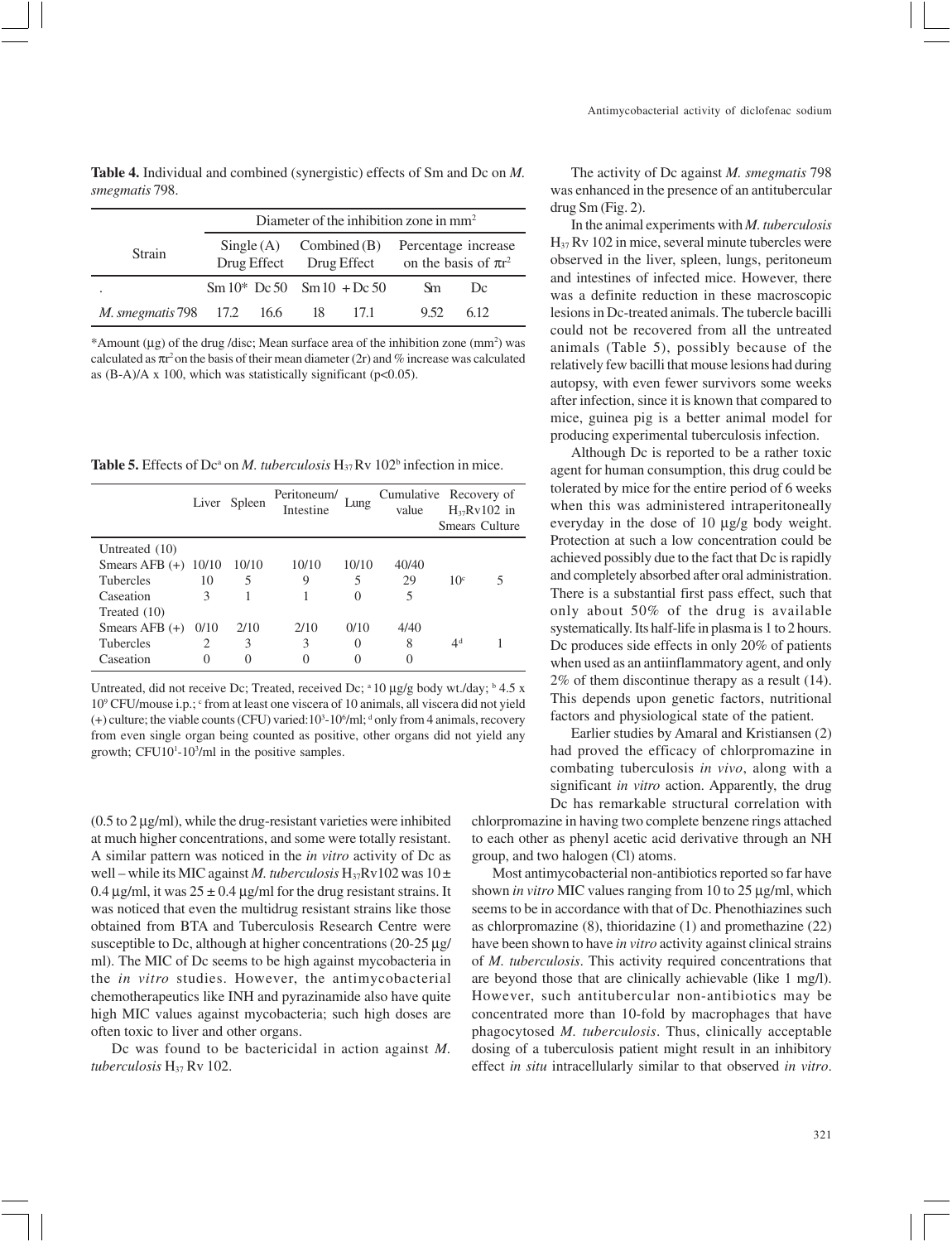**Table 4.** Individual and combined (synergistic) effects of Sm and Dc on *M. smegmatis* 798.

|                                           | Diameter of the inhibition zone in mm <sup>2</sup> |  |  |                                                                 |                                                                                                   |     |  |
|-------------------------------------------|----------------------------------------------------|--|--|-----------------------------------------------------------------|---------------------------------------------------------------------------------------------------|-----|--|
| Strain                                    |                                                    |  |  |                                                                 | $Single(A)$ Combined (B) Percentage increase<br>Drug Effect Drug Effect on the basis of $\pi r^2$ |     |  |
|                                           |                                                    |  |  | $\text{Sm } 10^* \text{ Dc } 50 \text{ Sm } 10 + \text{Dc } 50$ | Sm.                                                                                               | Dc  |  |
| <i>M. smegmatis</i> 798 17.2 16.6 18 17.1 |                                                    |  |  |                                                                 | 9.52                                                                                              | 612 |  |

\*Amount  $(\mu g)$  of the drug /disc; Mean surface area of the inhibition zone  $(mm^2)$  was calculated as πr 2 on the basis of their mean diameter (2r) and % increase was calculated as  $(B-A)/A \times 100$ , which was statistically significant (p<0.05).

**Table 5.** Effects of Dc<sup>a</sup> on *M. tuberculosis*  $H_{37}$  Rv 102<sup>b</sup> infection in mice.

|                        |      | Liver Spleen | Peritoneum/<br>Intestine | Lung     | Cumulative Recovery of<br>value |                 | $H_{37}Rv102$ in<br>Smears Culture |
|------------------------|------|--------------|--------------------------|----------|---------------------------------|-----------------|------------------------------------|
| Untreated (10)         |      |              |                          |          |                                 |                 |                                    |
| Smears AFB $(+)$ 10/10 |      | 10/10        | 10/10                    | 10/10    | 40/40                           |                 |                                    |
| <b>Tubercles</b>       | 10   | 5            | 9                        | 5        | 29                              | 10 <sup>c</sup> |                                    |
| Caseation              | 3    |              |                          | $\theta$ | 5                               |                 |                                    |
| Treated (10)           |      |              |                          |          |                                 |                 |                                    |
| Smears AFB $(+)$       | 0/10 | 2/10         | 2/10                     | 0/10     | 4/40                            |                 |                                    |
| <b>Tubercles</b>       | 2    | 3            | 3                        | 0        | 8                               | 4 <sup>d</sup>  |                                    |
| Caseation              | 0    |              |                          |          |                                 |                 |                                    |

Untreated, did not receive Dc; Treated, received Dc; <sup>a</sup> 10 µg/g body wt./day; <sup>b</sup> 4.5 x 10<sup>9</sup> CFU/mouse i.p.; <sup>c</sup> from at least one viscera of 10 animals, all viscera did not yield  $(+)$  culture; the viable counts (CFU) varied:10<sup>3</sup>-10<sup>6</sup>/ml;  $\textsuperscript{d}$  only from 4 animals, recovery from even single organ being counted as positive, other organs did not yield any growth; CFU10<sup>1</sup>-10<sup>3</sup>/ml in the positive samples.

 $(0.5 \text{ to } 2 \mu g/ml)$ , while the drug-resistant varieties were inhibited at much higher concentrations, and some were totally resistant. A similar pattern was noticed in the *in vitro* activity of Dc as well – while its MIC against *M. tuberculosis* H<sub>37</sub>Rv102 was 10 ± 0.4  $\mu$ g/ml, it was 25 ± 0.4  $\mu$ g/ml for the drug resistant strains. It was noticed that even the multidrug resistant strains like those obtained from BTA and Tuberculosis Research Centre were susceptible to Dc, although at higher concentrations (20-25 µg/ ml). The MIC of Dc seems to be high against mycobacteria in the *in vitro* studies. However, the antimycobacterial chemotherapeutics like INH and pyrazinamide also have quite high MIC values against mycobacteria; such high doses are often toxic to liver and other organs.

Dc was found to be bactericidal in action against *M. tuberculosis* H37 Rv 102.

The activity of Dc against *M. smegmatis* 798 was enhanced in the presence of an antitubercular drug Sm (Fig. 2).

In the animal experiments with *M. tuberculosis* H37 Rv 102 in mice, several minute tubercles were observed in the liver, spleen, lungs, peritoneum and intestines of infected mice. However, there was a definite reduction in these macroscopic lesions in Dc-treated animals. The tubercle bacilli could not be recovered from all the untreated animals (Table 5), possibly because of the relatively few bacilli that mouse lesions had during autopsy, with even fewer survivors some weeks after infection, since it is known that compared to mice, guinea pig is a better animal model for producing experimental tuberculosis infection.

Although Dc is reported to be a rather toxic agent for human consumption, this drug could be tolerated by mice for the entire period of 6 weeks when this was administered intraperitoneally everyday in the dose of 10 µg/g body weight. Protection at such a low concentration could be achieved possibly due to the fact that Dc is rapidly and completely absorbed after oral administration. There is a substantial first pass effect, such that only about 50% of the drug is available systematically. Its half-life in plasma is 1 to 2 hours. Dc produces side effects in only 20% of patients when used as an antiinflammatory agent, and only 2% of them discontinue therapy as a result (14). This depends upon genetic factors, nutritional factors and physiological state of the patient.

Earlier studies by Amaral and Kristiansen (2) had proved the efficacy of chlorpromazine in combating tuberculosis *in vivo*, along with a significant *in vitro* action. Apparently, the drug Dc has remarkable structural correlation with

chlorpromazine in having two complete benzene rings attached to each other as phenyl acetic acid derivative through an NH group, and two halogen (Cl) atoms.

Most antimycobacterial non-antibiotics reported so far have shown *in vitro* MIC values ranging from 10 to 25 µg/ml, which seems to be in accordance with that of Dc. Phenothiazines such as chlorpromazine (8), thioridazine (1) and promethazine (22) have been shown to have *in vitro* activity against clinical strains of *M. tuberculosis*. This activity required concentrations that are beyond those that are clinically achievable (like 1 mg/l). However, such antitubercular non-antibiotics may be concentrated more than 10-fold by macrophages that have phagocytosed *M. tuberculosis*. Thus, clinically acceptable dosing of a tuberculosis patient might result in an inhibitory effect *in situ* intracellularly similar to that observed *in vitro*.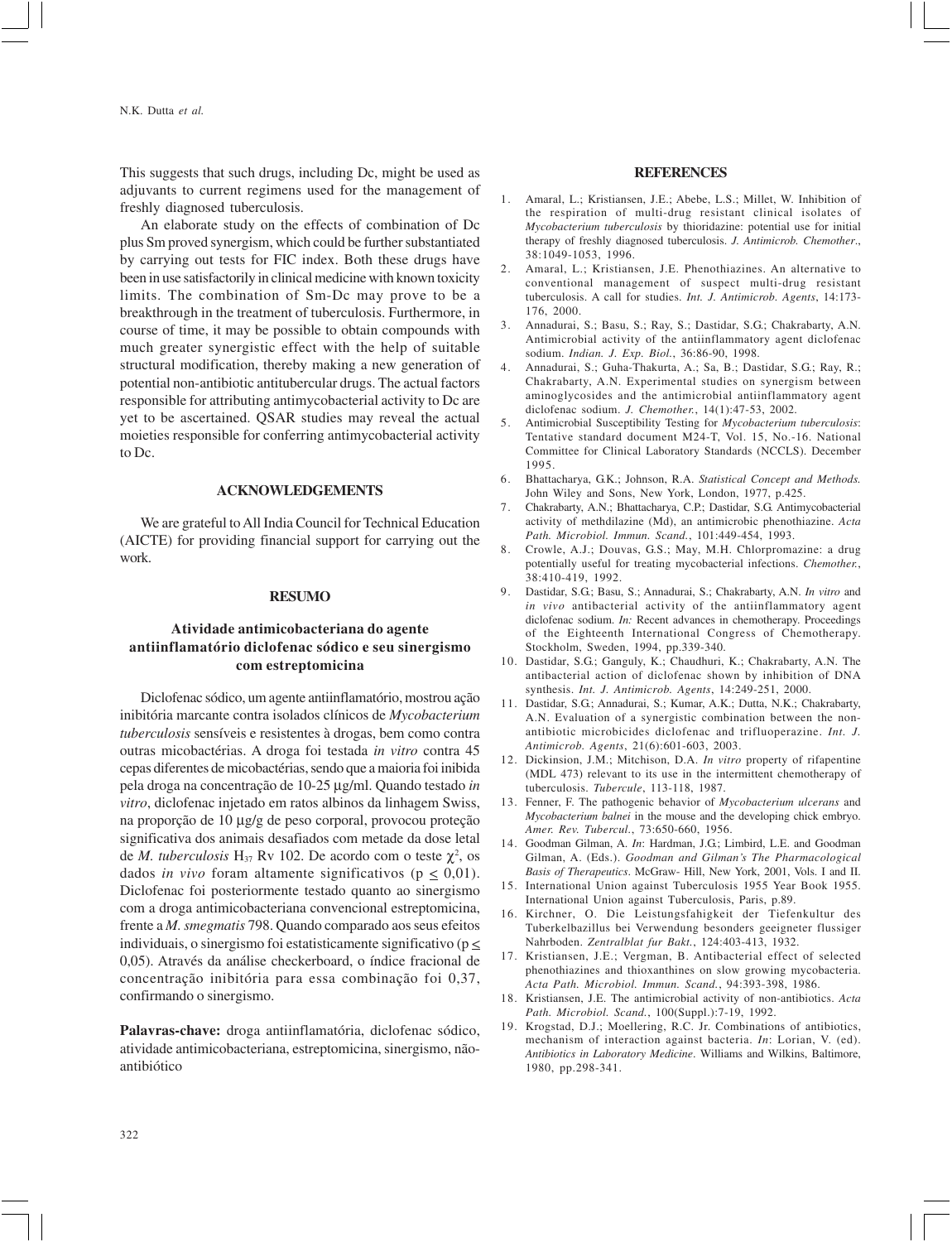This suggests that such drugs, including Dc, might be used as adjuvants to current regimens used for the management of freshly diagnosed tuberculosis.

An elaborate study on the effects of combination of Dc plus Sm proved synergism, which could be further substantiated by carrying out tests for FIC index. Both these drugs have been in use satisfactorily in clinical medicine with known toxicity limits. The combination of Sm-Dc may prove to be a breakthrough in the treatment of tuberculosis. Furthermore, in course of time, it may be possible to obtain compounds with much greater synergistic effect with the help of suitable structural modification, thereby making a new generation of potential non-antibiotic antitubercular drugs. The actual factors responsible for attributing antimycobacterial activity to Dc are yet to be ascertained. QSAR studies may reveal the actual moieties responsible for conferring antimycobacterial activity to Dc.

## **ACKNOWLEDGEMENTS**

We are grateful to All India Council for Technical Education (AICTE) for providing financial support for carrying out the work.

## **RESUMO**

# **Atividade antimicobacteriana do agente antiinflamatório diclofenac sódico e seu sinergismo com estreptomicina**

Diclofenac sódico, um agente antiinflamatório, mostrou ação inibitória marcante contra isolados clínicos de *Mycobacterium tuberculosis* sensíveis e resistentes à drogas, bem como contra outras micobactérias. A droga foi testada *in vitro* contra 45 cepas diferentes de micobactérias, sendo que a maioria foi inibida pela droga na concentração de 10-25 µg/ml. Quando testado *in vitro*, diclofenac injetado em ratos albinos da linhagem Swiss, na proporção de 10 µg/g de peso corporal, provocou proteção significativa dos animais desafiados com metade da dose letal de *M. tuberculosis*  $H_{37}$  Rv 102. De acordo com o teste  $\chi^2$ , os dados *in vivo* foram altamente significativos ( $p \leq 0.01$ ). Diclofenac foi posteriormente testado quanto ao sinergismo com a droga antimicobacteriana convencional estreptomicina, frente a *M. smegmatis* 798. Quando comparado aos seus efeitos individuais, o sinergismo foi estatisticamente significativo ( $p \leq$ 0,05). Através da análise checkerboard, o índice fracional de concentração inibitória para essa combinação foi 0,37, confirmando o sinergismo.

**Palavras-chave:** droga antiinflamatória, diclofenac sódico, atividade antimicobacteriana, estreptomicina, sinergismo, nãoantibiótico

#### **REFERENCES**

- 1. Amaral, L.; Kristiansen, J.E.; Abebe, L.S.; Millet, W. Inhibition of the respiration of multi-drug resistant clinical isolates of *Mycobacterium tuberculosis* by thioridazine: potential use for initial therapy of freshly diagnosed tuberculosis. *J. Antimicrob. Chemother*., 38:1049-1053, 1996.
- 2. Amaral, L.; Kristiansen, J.E. Phenothiazines. An alternative to conventional management of suspect multi-drug resistant tuberculosis. A call for studies. *Int. J. Antimicrob. Agents*, 14:173- 176, 2000.
- 3. Annadurai, S.; Basu, S.; Ray, S.; Dastidar, S.G.; Chakrabarty, A.N. Antimicrobial activity of the antiinflammatory agent diclofenac sodium. *Indian. J. Exp. Biol.*, 36:86-90, 1998.
- 4. Annadurai, S.; Guha-Thakurta, A.; Sa, B.; Dastidar, S.G.; Ray, R.; Chakrabarty, A.N. Experimental studies on synergism between aminoglycosides and the antimicrobial antiinflammatory agent diclofenac sodium. *J. Chemother.*, 14(1):47-53, 2002.
- 5. Antimicrobial Susceptibility Testing for *Mycobacterium tuberculosis*: Tentative standard document M24-T, Vol. 15, No.-16. National Committee for Clinical Laboratory Standards (NCCLS). December 1995.
- 6. Bhattacharya, G.K.; Johnson, R.A. *Statistical Concept and Methods.* John Wiley and Sons, New York, London, 1977, p.425.
- 7. Chakrabarty, A.N.; Bhattacharya, C.P.; Dastidar, S.G. Antimycobacterial activity of methdilazine (Md), an antimicrobic phenothiazine. *Acta Path. Microbiol. Immun. Scand.*, 101:449-454, 1993.
- 8. Crowle, A.J.; Douvas, G.S.; May, M.H. Chlorpromazine: a drug potentially useful for treating mycobacterial infections. *Chemother.*, 38:410-419, 1992.
- 9. Dastidar, S.G.; Basu, S.; Annadurai, S.; Chakrabarty, A.N. *In vitro* and *in vivo* antibacterial activity of the antiinflammatory agent diclofenac sodium. *In:* Recent advances in chemotherapy. Proceedings of the Eighteenth International Congress of Chemotherapy. Stockholm, Sweden, 1994, pp.339-340.
- 10. Dastidar, S.G.; Ganguly, K.; Chaudhuri, K.; Chakrabarty, A.N. The antibacterial action of diclofenac shown by inhibition of DNA synthesis. *Int. J. Antimicrob. Agents*, 14:249-251, 2000.
- 11. Dastidar, S.G.; Annadurai, S.; Kumar, A.K.; Dutta, N.K.; Chakrabarty, A.N. Evaluation of a synergistic combination between the nonantibiotic microbicides diclofenac and trifluoperazine. *Int. J. Antimicrob. Agents*, 21(6):601-603, 2003.
- 12. Dickinsion, J.M.; Mitchison, D.A. *In vitro* property of rifapentine (MDL 473) relevant to its use in the intermittent chemotherapy of tuberculosis. *Tubercule*, 113-118, 1987.
- 13. Fenner, F. The pathogenic behavior of *Mycobacterium ulcerans* and *Mycobacterium balnei* in the mouse and the developing chick embryo. *Amer. Rev. Tubercul.*, 73:650-660, 1956.
- 14. Goodman Gilman, A. *In*: Hardman, J.G.; Limbird, L.E. and Goodman Gilman, A. (Eds.). *Goodman and Gilman's The Pharmacological Basis of Therapeutics*. McGraw- Hill, New York, 2001, Vols. I and II.
- 15. International Union against Tuberculosis 1955 Year Book 1955. International Union against Tuberculosis, Paris, p.89.
- 16. Kirchner, O. Die Leistungsfahigkeit der Tiefenkultur des Tuberkelbazillus bei Verwendung besonders geeigneter flussiger Nahrboden. *Zentralblat fur Bakt.*, 124:403-413, 1932.
- 17. Kristiansen, J.E.; Vergman, B. Antibacterial effect of selected phenothiazines and thioxanthines on slow growing mycobacteria. *Acta Path. Microbiol. Immun. Scand.*, 94:393-398, 1986.
- 18. Kristiansen, J.E. The antimicrobial activity of non-antibiotics. *Acta Path. Microbiol. Scand.*, 100(Suppl.):7-19, 1992.
- 19. Krogstad, D.J.; Moellering, R.C. Jr. Combinations of antibiotics, mechanism of interaction against bacteria. *In*: Lorian, V. (ed). *Antibiotics in Laboratory Medicine*. Williams and Wilkins, Baltimore, 1980, pp.298-341.